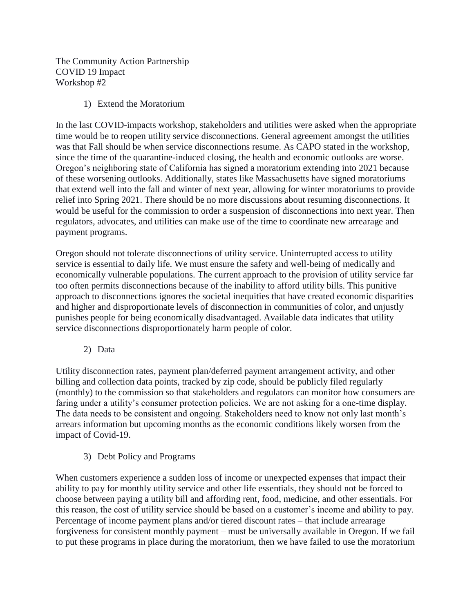The Community Action Partnership COVID 19 Impact Workshop #2

1) Extend the Moratorium

In the last COVID-impacts workshop, stakeholders and utilities were asked when the appropriate time would be to reopen utility service disconnections. General agreement amongst the utilities was that Fall should be when service disconnections resume. As CAPO stated in the workshop, since the time of the quarantine-induced closing, the health and economic outlooks are worse. Oregon's neighboring state of California has signed a moratorium extending into 2021 because of these worsening outlooks. Additionally, states like Massachusetts have signed moratoriums that extend well into the fall and winter of next year, allowing for winter moratoriums to provide relief into Spring 2021. There should be no more discussions about resuming disconnections. It would be useful for the commission to order a suspension of disconnections into next year. Then regulators, advocates, and utilities can make use of the time to coordinate new arrearage and payment programs.

Oregon should not tolerate disconnections of utility service. Uninterrupted access to utility service is essential to daily life. We must ensure the safety and well-being of medically and economically vulnerable populations. The current approach to the provision of utility service far too often permits disconnections because of the inability to afford utility bills. This punitive approach to disconnections ignores the societal inequities that have created economic disparities and higher and disproportionate levels of disconnection in communities of color, and unjustly punishes people for being economically disadvantaged. Available data indicates that utility service disconnections disproportionately harm people of color.

2) Data

Utility disconnection rates, payment plan/deferred payment arrangement activity, and other billing and collection data points, tracked by zip code, should be publicly filed regularly (monthly) to the commission so that stakeholders and regulators can monitor how consumers are faring under a utility's consumer protection policies. We are not asking for a one-time display. The data needs to be consistent and ongoing. Stakeholders need to know not only last month's arrears information but upcoming months as the economic conditions likely worsen from the impact of Covid-19.

3) Debt Policy and Programs

When customers experience a sudden loss of income or unexpected expenses that impact their ability to pay for monthly utility service and other life essentials, they should not be forced to choose between paying a utility bill and affording rent, food, medicine, and other essentials. For this reason, the cost of utility service should be based on a customer's income and ability to pay. Percentage of income payment plans and/or tiered discount rates – that include arrearage forgiveness for consistent monthly payment – must be universally available in Oregon. If we fail to put these programs in place during the moratorium, then we have failed to use the moratorium